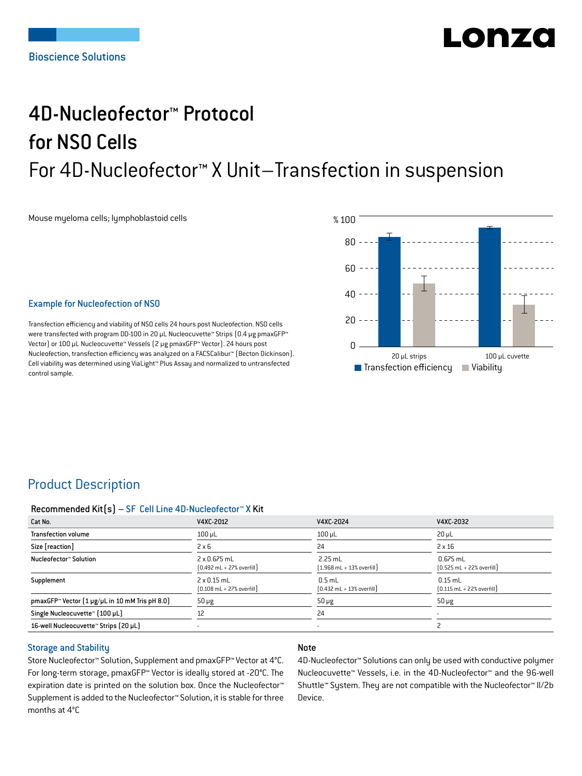# Lonzo

## 4D-Nucleofector™ Protocol for NSO Cells For 4D-Nucleofector™ X Unit–Transfection in suspension

Mouse myeloma cells; lymphoblastoid cells



## Example for Nucleofection of NSO

Transfection efficiency and viability of NSO cells 24 hours post Nucleofection. NSO cells were transfected with program DD-100 in 20 μL Nucleocuvette™ Strips (0.4 μg pmaxGFP™) Vector) or 100 μL Nucleocuvette™ Vessels (2 μg pmaxGFP™ Vector). 24 hours post Nucleofection, transfection efficiency was analyzed on a FACSCalibur™ (Becton Dickinson). Cell viability was determined using ViaLight™ Plus Assay and normalized to untransfected control sample.

## Product Description

### Recommended Kit(s) – SF Cell Line 4D-Nucleofector™ X Kit

| Cat No.                                                    | V4XC-2012                                                           | V4XC-2024                                                 | V4XC-2032                                                  |
|------------------------------------------------------------|---------------------------------------------------------------------|-----------------------------------------------------------|------------------------------------------------------------|
| <b>Transfection volume</b>                                 | $100 \mu L$                                                         | $100$ $\mu$ L                                             | $20 \mu L$                                                 |
| Size [reaction]                                            | $2 \times 6$                                                        | 24                                                        | $2 \times 16$                                              |
| Nucleofector™ Solution                                     | $2 \times 0.675$ mL<br>$[0.492 \text{ mL} + 27\% \text{ overfill}]$ | $2.25$ mL<br>$[1.968 \text{ mL} + 13\% \text{ overfill}]$ | $0.675$ mL<br>$[0.525 \text{ mL} + 22\% \text{ overfill}]$ |
| Supplement                                                 | $2 \times 0.15$ mL<br>$[0.108 \text{ mL} + 27\% \text{ overfill}]$  | $0.5$ mL<br>$[0.432 \text{ mL} + 13\% \text{ overfill}]$  | $0.15$ mL<br>$[0.115 \text{ mL} + 22\% \text{ overfill}]$  |
| pmaxGFP <sup>™</sup> Vector [1 µg/µL in 10 mM Tris pH 8.0] | $50 \mu g$                                                          | $50 \mu g$                                                | $50 \mu g$                                                 |
| Single Nucleocuvette™ (100 µL)                             | 12                                                                  | 24                                                        |                                                            |
| 16-well Nucleocuvette <sup>™</sup> Strips (20 µL)          |                                                                     |                                                           |                                                            |

## Storage and Stability

Store Nucleofector™ Solution, Supplement and pmaxGFP™ Vector at 4°C. For long-term storage, pmaxGFP™ Vector is ideally stored at -20°C. The expiration date is printed on the solution box. Once the Nucleofector™ Supplement is added to the Nucleofector™ Solution, it is stable for three months at 4°C

## Note

4D-Nucleofector™ Solutions can only be used with conductive polymer Nucleocuvette™ Vessels, i.e. in the 4D-Nucleofector™ and the 96-well Shuttle™ System. They are not compatible with the Nucleofector™ II/2b Device.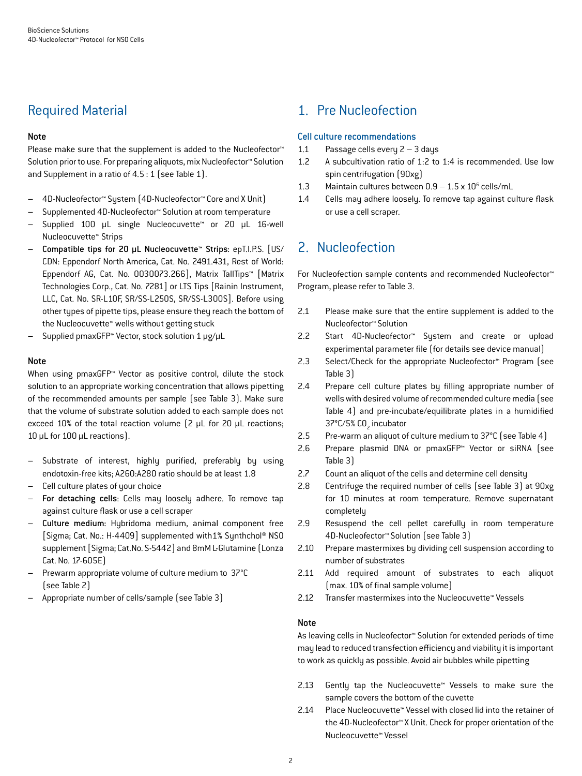## Required Material

## Note

Please make sure that the supplement is added to the Nucleofector<sup>™</sup> Solution prior to use. For preparing aliquots, mix Nucleofector™ Solution and Supplement in a ratio of 4.5 : 1 (see Table 1).

- 4D-Nucleofector™ System (4D-Nucleofector™ Core and X Unit)
- Supplemented 4D-Nucleofector™ Solution at room temperature
- Supplied 100 µL single Nucleocuvette™ or 20 µL 16-well Nucleocuvette™ Strips
- Compatible tips for 20 µL Nucleocuvette™ Strips: epT.I.P.S. [US/ CDN: Eppendorf North America, Cat. No. 2491.431, Rest of World: Eppendorf AG, Cat. No. 0030073.266], Matrix TallTips™ [Matrix Technologies Corp., Cat. No. 7281] or LTS Tips [Rainin Instrument, LLC, Cat. No. SR-L10F, SR/SS-L250S, SR/SS-L300S]. Before using other types of pipette tips, please ensure they reach the bottom of the Nucleocuvette™ wells without getting stuck
- Supplied pmaxGFP™ Vector, stock solution 1 μg/μL

#### Note

When using pmaxGFP™ Vector as positive control, dilute the stock solution to an appropriate working concentration that allows pipetting of the recommended amounts per sample (see Table 3). Make sure that the volume of substrate solution added to each sample does not exceed 10% of the total reaction volume (2 μL for 20 μL reactions; 10 μL for 100 μL reactions).

- Substrate of interest, highly purified, preferably by using endotoxin-free kits; A260:A280 ratio should be at least 1.8
- Cell culture plates of your choice
- For detaching cells: Cells may loosely adhere. To remove tap against culture flask or use a cell scraper
- Culture medium: Hybridoma medium, animal component free [Sigma; Cat. No.: H-4409] supplemented with1% Synthchol® NS0 supplement [Sigma; Cat.No. S-5442] and 8mM L-Glutamine (Lonza Cat. No. 17-605E)
- Prewarm appropriate volume of culture medium to 37°C (see Table 2)
- Appropriate number of cells/sample (see Table 3)

## 1. Pre Nucleofection

### Cell culture recommendations

- 1.1 Passage cells every 2 3 days
- 1.2 A subcultivation ratio of 1:2 to 1:4 is recommended. Use low spin centrifugation (90xg)
- 1.3 Maintain cultures between  $0.9 1.5 \times 10^6$  cells/mL
- 1.4 Cells may adhere loosely. To remove tap against culture flask or use a cell scraper.

## 2. Nucleofection

For Nucleofection sample contents and recommended Nucleofector™ Program, please refer to Table 3.

- 2.1 Please make sure that the entire supplement is added to the Nucleofector™ Solution
- 2.2 Start 4D-Nucleofector™ System and create or upload experimental parameter file (for details see device manual)
- 2.3 Select/Check for the appropriate Nucleofector™ Program (see Table 3)
- 2.4 Prepare cell culture plates by filling appropriate number of wells with desired volume of recommended culture media (see Table 4) and pre-incubate/equilibrate plates in a humidified 37°C/5% CO<sub>2</sub> incubator
- 2.5 Pre-warm an aliquot of culture medium to 37°C (see Table 4)
- 2.6 Prepare plasmid DNA or pmaxGFP™ Vector or siRNA (see Table 3)
- 2.7 Count an aliquot of the cells and determine cell density
- 2.8 Centrifuge the required number of cells (see Table 3) at 90xg for 10 minutes at room temperature. Remove supernatant completely
- 2.9 Resuspend the cell pellet carefully in room temperature 4D-Nucleofector™ Solution (see Table 3)
- 2.10 Prepare mastermixes by dividing cell suspension according to number of substrates
- 2.11 Add required amount of substrates to each aliquot (max. 10% of final sample volume)
- 2.12 Transfer mastermixes into the Nucleocuvette™ Vessels

## Note

As leaving cells in Nucleofector™ Solution for extended periods of time may lead to reduced transfection efficiency and viability it is important to work as quickly as possible. Avoid air bubbles while pipetting

- 2.13 Gently tap the Nucleocuvette™ Vessels to make sure the sample covers the bottom of the cuvette
- 2.14 Place Nucleocuvette™ Vessel with closed lid into the retainer of the 4D-Nucleofector™ X Unit. Check for proper orientation of the Nucleocuvette™ Vessel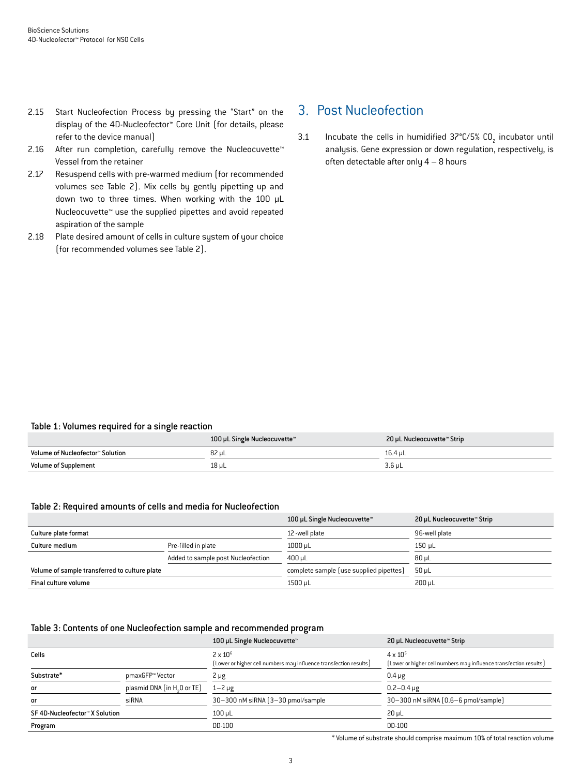- 2.15 Start Nucleofection Process by pressing the "Start" on the display of the 4D-Nucleofector™ Core Unit (for details, please refer to the device manual)
- 2.16 After run completion, carefully remove the Nucleocuvette<sup>™</sup> Vessel from the retainer
- 2.17 Resuspend cells with pre-warmed medium (for recommended volumes see Table 2). Mix cells by gently pipetting up and down two to three times. When working with the 100 µL Nucleocuvette™ use the supplied pipettes and avoid repeated aspiration of the sample
- 2.18 Plate desired amount of cells in culture system of your choice (for recommended volumes see Table 2).

## 3. Post Nucleofection

3.1 Incubate the cells in humidified  $37^{\circ}$ C/5% CO<sub>2</sub> incubator until analysis. Gene expression or down regulation, respectively, is often detectable after only 4 – 8 hours

#### Table 1: Volumes required for a single reaction

|                                  | 100 µL Single Nucleocuvette™ | 20 µL Nucleocuvette™ Strip |
|----------------------------------|------------------------------|----------------------------|
| Volume of Nucleofector™ Solution | 82 uL                        | 16.4 uL                    |
| <b>Volume of Supplement</b>      | $18$ µL                      | $3.6$ µL                   |

#### Table 2: Required amounts of cells and media for Nucleofection

|                                               |                                    | 100 µL Single Nucleocuvette™            | 20 µL Nucleocuvette™ Strip |
|-----------------------------------------------|------------------------------------|-----------------------------------------|----------------------------|
| Culture plate format                          |                                    | 12-well plate                           | 96-well plate              |
| Culture medium                                | Pre-filled in plate                | $1000$ µL                               | 150 uL                     |
|                                               | Added to sample post Nucleofection | $400 \,\mathrm{\upmu L}$                | $80 \mu L$                 |
| Volume of sample transferred to culture plate |                                    | complete sample (use supplied pipettes) | $50 \mu L$                 |
| Final culture volume                          |                                    | 1500 µL                                 | 200 uL                     |

#### Table 3: Contents of one Nucleofection sample and recommended program

|                                         | 100 µL Single Nucleocuvette™       | 20 µL Nucleocuvette™ Strip                                        |
|-----------------------------------------|------------------------------------|-------------------------------------------------------------------|
|                                         | $2 \times 10^6$                    | $4 \times 10^{5}$                                                 |
|                                         |                                    | [Lower or higher cell numbers may influence transfection results] |
| pmaxGFP™ Vector                         | 2 µg                               | $0.4 \mu g$                                                       |
| plasmid DNA (in H <sub>2</sub> O or TE) | $1 - 2 \mu g$                      | $0.2 - 0.4 \mu g$                                                 |
| siRNA                                   | 30-300 nM siRNA (3-30 pmol/sample) | 30-300 nM siRNA (0.6-6 pmol/sample)                               |
|                                         | $100$ $\mu$ L                      | $20 \mu L$                                                        |
|                                         | DD-100                             | DD-100                                                            |
|                                         |                                    | (Lower or higher cell numbers may influence transfection results) |

\* Volume of substrate should comprise maximum 10% of total reaction volume